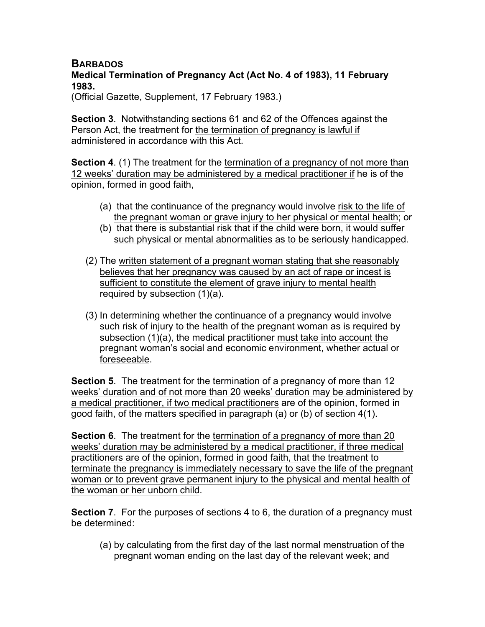## **BARBADOS**

## **Medical Termination of Pregnancy Act (Act No. 4 of 1983), 11 February 1983.**

(Official Gazette, Supplement, 17 February 1983.)

**Section 3**. Notwithstanding sections 61 and 62 of the Offences against the Person Act, the treatment for the termination of pregnancy is lawful if administered in accordance with this Act.

**Section 4.** (1) The treatment for the termination of a pregnancy of not more than 12 weeks' duration may be administered by a medical practitioner if he is of the opinion, formed in good faith,

- (a) that the continuance of the pregnancy would involve risk to the life of the pregnant woman or grave injury to her physical or mental health; or
- (b) that there is substantial risk that if the child were born, it would suffer such physical or mental abnormalities as to be seriously handicapped.
- (2) The written statement of a pregnant woman stating that she reasonably believes that her pregnancy was caused by an act of rape or incest is sufficient to constitute the element of grave injury to mental health required by subsection (1)(a).
- (3) In determining whether the continuance of a pregnancy would involve such risk of injury to the health of the pregnant woman as is required by subsection (1)(a), the medical practitioner must take into account the pregnant woman's social and economic environment, whether actual or foreseeable.

**Section 5**. The treatment for the termination of a pregnancy of more than 12 weeks' duration and of not more than 20 weeks' duration may be administered by a medical practitioner, if two medical practitioners are of the opinion, formed in good faith, of the matters specified in paragraph (a) or (b) of section 4(1).

**Section 6**. The treatment for the termination of a pregnancy of more than 20 weeks' duration may be administered by a medical practitioner, if three medical practitioners are of the opinion, formed in good faith, that the treatment to terminate the pregnancy is immediately necessary to save the life of the pregnant woman or to prevent grave permanent injury to the physical and mental health of the woman or her unborn child.

**Section 7**. For the purposes of sections 4 to 6, the duration of a pregnancy must be determined:

(a) by calculating from the first day of the last normal menstruation of the pregnant woman ending on the last day of the relevant week; and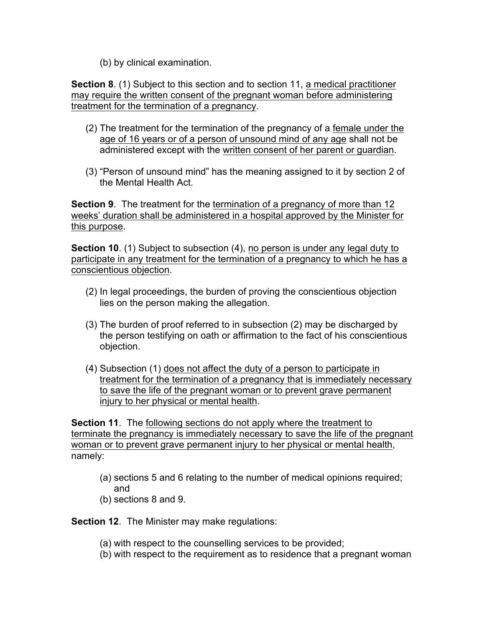(b) by clinical examination.

**Section 8**. (1) Subject to this section and to section 11, a medical practitioner may require the written consent of the pregnant woman before administering treatment for the termination of a pregnancy.

- (2) The treatment for the termination of the pregnancy of a female under the age of 16 years or of a person of unsound mind of any age shall not be administered except with the written consent of her parent or guardian.
- (3) "Person of unsound mind" has the meaning assigned to it by section 2 of the Mental Health Act.

**Section 9**. The treatment for the termination of a pregnancy of more than 12 weeks' duration shall be administered in a hospital approved by the Minister for this purpose.

**Section 10**. (1) Subject to subsection (4), no person is under any legal duty to participate in any treatment for the termination of a pregnancy to which he has a conscientious objection.

- (2) In legal proceedings, the burden of proving the conscientious objection lies on the person making the allegation.
- (3) The burden of proof referred to in subsection (2) may be discharged by the person testifying on oath or affirmation to the fact of his conscientious objection.
- (4) Subsection (1) does not affect the duty of a person to participate in treatment for the termination of a pregnancy that is immediately necessary to save the life of the pregnant woman or to prevent grave permanent injury to her physical or mental health.

**Section 11**. The following sections do not apply where the treatment to terminate the pregnancy is immediately necessary to save the life of the pregnant woman or to prevent grave permanent injury to her physical or mental health, namely:

- (a) sections 5 and 6 relating to the number of medical opinions required; and
- (b) sections 8 and 9.

**Section 12**. The Minister may make regulations:

- (a) with respect to the counselling services to be provided;
- (b) with respect to the requirement as to residence that a pregnant woman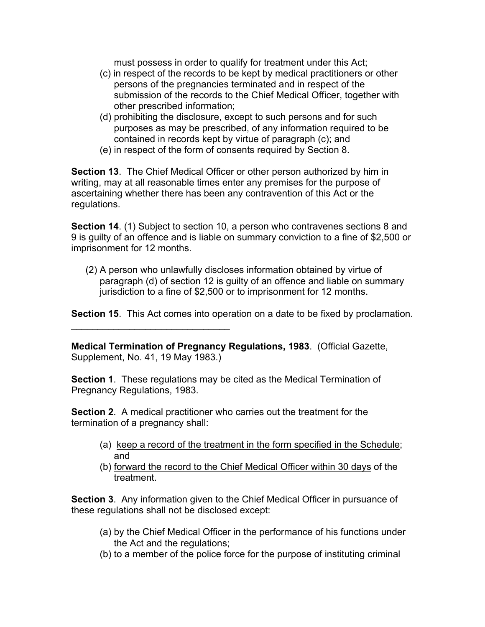must possess in order to qualify for treatment under this Act;

- (c) in respect of the records to be kept by medical practitioners or other persons of the pregnancies terminated and in respect of the submission of the records to the Chief Medical Officer, together with other prescribed information;
- (d) prohibiting the disclosure, except to such persons and for such purposes as may be prescribed, of any information required to be contained in records kept by virtue of paragraph (c); and
- (e) in respect of the form of consents required by Section 8.

**Section 13**. The Chief Medical Officer or other person authorized by him in writing, may at all reasonable times enter any premises for the purpose of ascertaining whether there has been any contravention of this Act or the regulations.

**Section 14.** (1) Subject to section 10, a person who contravenes sections 8 and 9 is guilty of an offence and is liable on summary conviction to a fine of \$2,500 or imprisonment for 12 months.

(2) A person who unlawfully discloses information obtained by virtue of paragraph (d) of section 12 is guilty of an offence and liable on summary jurisdiction to a fine of \$2,500 or to imprisonment for 12 months.

**Section 15**. This Act comes into operation on a date to be fixed by proclamation.

**Medical Termination of Pregnancy Regulations, 1983**. (Official Gazette, Supplement, No. 41, 19 May 1983.)

 $\mathcal{L}_\text{max}$  and  $\mathcal{L}_\text{max}$  and  $\mathcal{L}_\text{max}$ 

**Section 1**. These regulations may be cited as the Medical Termination of Pregnancy Regulations, 1983.

**Section 2**. A medical practitioner who carries out the treatment for the termination of a pregnancy shall:

- (a) keep a record of the treatment in the form specified in the Schedule; and
- (b) forward the record to the Chief Medical Officer within 30 days of the treatment.

**Section 3**. Any information given to the Chief Medical Officer in pursuance of these regulations shall not be disclosed except:

- (a) by the Chief Medical Officer in the performance of his functions under the Act and the regulations;
- (b) to a member of the police force for the purpose of instituting criminal